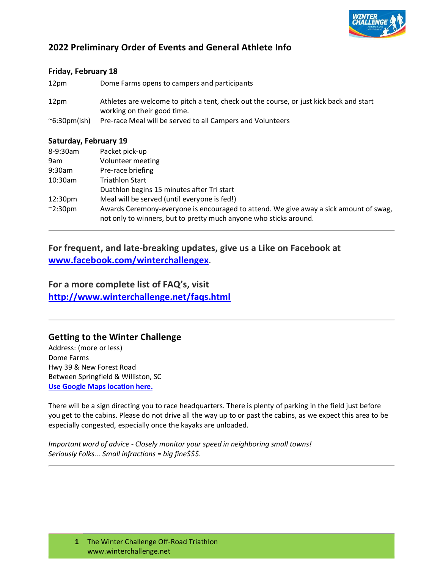

## **2022 Preliminary Order of Events and General Athlete Info**

### **Friday, February 18**

12pm Dome Farms opens to campers and participants

- 12pm Athletes are welcome to pitch a tent, check out the course, or just kick back and start working on their good time.
- ~6:30pm(ish) Pre-race Meal will be served to all Campers and Volunteers

#### **Saturday, February 19**

| 8-9:30am            | Packet pick-up                                                                                                                                             |
|---------------------|------------------------------------------------------------------------------------------------------------------------------------------------------------|
| 9am                 | Volunteer meeting                                                                                                                                          |
| 9:30am              | Pre-race briefing                                                                                                                                          |
| $10:30$ am          | <b>Triathlon Start</b>                                                                                                                                     |
|                     | Duathlon begins 15 minutes after Tri start                                                                                                                 |
| 12:30 <sub>pm</sub> | Meal will be served (until everyone is fed!)                                                                                                               |
| $\sim$ 2:30pm       | Awards Ceremony-everyone is encouraged to attend. We give away a sick amount of swag,<br>not only to winners, but to pretty much anyone who sticks around. |

## **For frequent, and late-breaking updates, give us a Like on Facebook at [www.facebook.com/winterchallengex](http://www.facebook.com/winterchallengex)**.

**For a more complete list of FAQ's, visit <http://www.winterchallenge.net/faqs.html>**

## **Getting to the Winter Challenge**

Address: (more or less) Dome Farms Hwy 39 & New Forest Road Between Springfield & Williston, SC **Use Google Maps [location](https://www.google.com/maps/preview#!data%3D!1m4!1m3!1d66220!2d-81.3050059!3d33.4660311!4m36!3m16!1m0!1m5!1s11835%2BS%2BCarolina%2B39%2C%2BWilliston%2C%2BSC%2B29853!2s0x88f91d337077a409%3A0x139b4d5ee9db84f5!3m2!3d33.4662399!4d-81.3330108!3m8!1m3!1d3!2d-81.332969!3d33.466254!3m2!1i1920!2i955!4f90!5m16!2m1) her[e.](https://www.google.com/maps/preview#!data%3D!1m4!1m3!1d66220!2d-81.3050059!3d33.4660311!4m36!3m16!1m0!1m5!1s11835%2BS%2BCarolina%2B39%2C%2BWilliston%2C%2BSC%2B29853!2s0x88f91d337077a409%3A0x139b4d5ee9db84f5!3m2!3d33.4662399!4d-81.3330108!3m8!1m3!1d3!2d-81.332969!3d33.466254!3m2!1i1920!2i955!4f90!5m16!2m1)**

There will be a sign directing you to race headquarters. There is plenty of parking in the field just before you get to the cabins. Please do not drive all the way up to or past the cabins, as we expect this area to be especially congested, especially once the kayaks are unloaded.

*Important word of advice - Closely monitor your speed in neighboring small towns! Seriously Folks... Small infractions = big fine\$\$\$.*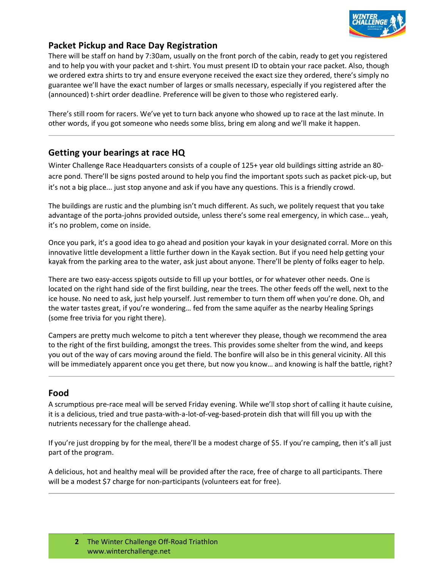

## **Packet Pickup and Race Day Registration**

There will be staff on hand by 7:30am, usually on the front porch of the cabin, ready to get you registered and to help you with your packet and t-shirt. You must present ID to obtain your race packet. Also, though we ordered extra shirts to try and ensure everyone received the exact size they ordered, there's simply no guarantee we'll have the exact number of larges or smalls necessary, especially if you registered after the (announced) t-shirt order deadline. Preference will be given to those who registered early.

There's still room for racers. We've yet to turn back anyone who showed up to race at the last minute. In other words, if you got someone who needs some bliss, bring em along and we'll make it happen.

## **Getting your bearings at race HQ**

Winter Challenge Race Headquarters consists of a couple of 125+ year old buildings sitting astride an 80 acre pond. There'll be signs posted around to help you find the important spots such as packet pick-up, but it's not a big place... just stop anyone and ask if you have any questions. This is a friendly crowd.

The buildings are rustic and the plumbing isn't much different. As such, we politely request that you take advantage of the porta-johns provided outside, unless there's some real emergency, in which case… yeah, it's no problem, come on inside.

Once you park, it's a good idea to go ahead and position your kayak in your designated corral. More on this innovative little development a little further down in the Kayak section. But if you need help getting your kayak from the parking area to the water, ask just about anyone. There'll be plenty of folks eager to help.

There are two easy-access spigots outside to fill up your bottles, or for whatever other needs. One is located on the right hand side of the first building, near the trees. The other feeds off the well, next to the ice house. No need to ask, just help yourself. Just remember to turn them off when you're done. Oh, and the water tastes great, if you're wondering… fed from the same aquifer as the nearby Healing Springs (some free trivia for you right there).

Campers are pretty much welcome to pitch a tent wherever they please, though we recommend the area to the right of the first building, amongst the trees. This provides some shelter from the wind, and keeps you out of the way of cars moving around the field. The bonfire will also be in this general vicinity. All this will be immediately apparent once you get there, but now you know... and knowing is half the battle, right?

## **Food**

A scrumptious pre-race meal will be served Friday evening. While we'll stop short of calling it haute cuisine, it is a delicious, tried and true pasta-with-a-lot-of-veg-based-protein dish that will fill you up with the nutrients necessary for the challenge ahead.

If you're just dropping by for the meal, there'll be a modest charge of \$5. If you're camping, then it's all just part of the program.

A delicious, hot and healthy meal will be provided after the race, free of charge to all participants. There will be a modest \$7 charge for non-participants (volunteers eat for free).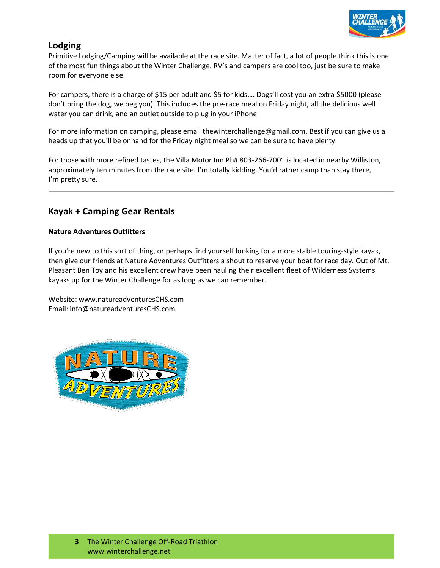

## **Lodging**

Primitive Lodging/Camping will be available at the race site. Matter of fact, a lot of people think this is one of the most fun things about the Winter Challenge. RV's and campers are cool too, just be sure to make room for everyone else.

For campers, there is a charge of \$15 per adult and \$5 for kids…. Dogs'll cost you an extra \$5000 (please don't bring the dog, we beg you). This includes the pre-race meal on Friday night, all the delicious well water you can drink, and an outlet outside to plug in your iPhone

For more information on camping, please email [thewinterchallenge@gmail.com. B](mailto:thewinterchallenge@gmail.com)est if you can give us a heads up that you'll be onhand for the Friday night meal so we can be sure to have plenty.

For those with more refined tastes, the Villa Motor Inn Ph# 803-266-7001 is located in nearby Williston, approximately ten minutes from the race site. I'm totally kidding. You'd rather camp than stay there, I'm pretty sure.

## **Kayak + Camping Gear Rentals**

#### **Nature Adventures Outfitters**

If you're new to this sort of thing, or perhaps find yourself looking for a more stable touring-style kayak, then give our friends at Nature Adventures Outfitters a shout to reserve your boat for race day. Out of Mt. Pleasant Ben Toy and his excellent crew have been hauling their excellent fleet of Wilderness Systems kayaks up for the Winter Challenge for as long as we can remember.

Website: [www.natureadventuresCHS.com](http://www.natureadventureschs.com/) Email: [info@natureadventuresCHS.com](mailto:info@natureadventuresCHS.com)

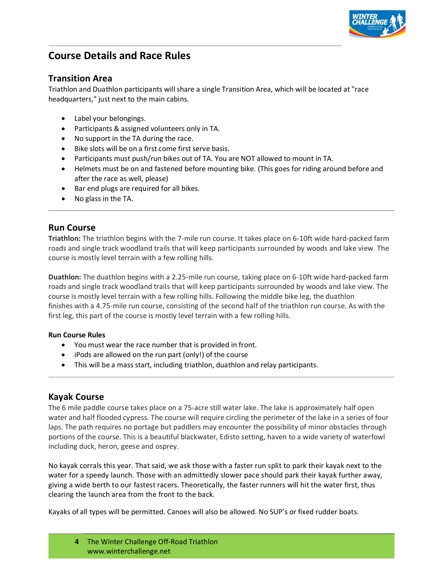

# **Course Details and Race Rules**

## **Transition Area**

Triathlon and Duathlon participants willshare a single Transition Area, which will be located at "race headquarters," just next to the main cabins.

- Label your belongings.
- Participants & assigned volunteers only in TA.
- No support in the TA during the race.
- Bike slots will be on a first come first serve basis.
- Participants must push/run bikes out of TA. You are NOT allowed to mount in TA.
- Helmets must be on and fastened before mounting bike. (This goes for riding around before and after the race as well, please)
- Bar end plugs are required for all bikes.
- No glass in the TA.

## **Run Course**

**Triathlon:** The triathlon begins with the 7-mile run course. It takes place on 6-10ft wide hard-packed farm roads and single track woodland trails that will keep participants surrounded by woods and lake view. The course is mostly level terrain with a few rolling hills.

**Duathlon:** The duathlon begins with a 2.25-mile run course, taking place on 6-10ft wide hard-packed farm roads and single track woodland trails that will keep participants surrounded by woods and lake view. The course is mostly level terrain with a few rolling hills. Following the middle bike leg, the duathlon finishes with a 4.75-mile run course, consisting of the second half of the triathlon run course. As with the first leg, this part of the course is mostly level terrain with a few rolling hills.

#### **Run Course Rules**

- You must wear the race number that is provided in front.
- iPods are allowed on the run part (only!) of the course
- This will be a mass start, including triathlon, duathlon and relay participants.

## **Kayak Course**

The 6 mile paddle course takes place on a 75-acre still water lake. The lake is approximately half open water and half flooded cypress. The course will require circling the perimeter of the lake in a series of four laps. The path requires no portage but paddlers may encounter the possibility of minor obstacles through portions of the course. This is a beautiful blackwater, Edisto setting, haven to a wide variety of waterfowl including duck, heron, geese and osprey.

No kayak corrals this year. That said, we ask those with a faster run split to park their kayak next to the water for a speedy launch. Those with an admittedly slower pace should park their kayak further away, giving a wide berth to our fastest racers. Theoretically, the faster runners will hit the water first, thus clearing the launch area from the front to the back.

Kayaks of all types will be permitted. Canoes will also be allowed. No SUP's or fixed rudder boats.

**4** The Winter Challenge Off-Road Triathlon [www.winterchallenge.net](http://www.winterchallenge.net/)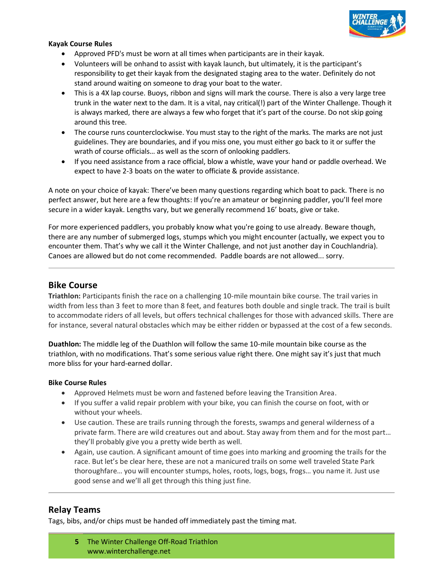

#### **Kayak Course Rules**

- Approved PFD's must be worn at all times when participants are in their kayak.
- Volunteers will be onhand to assist with kayak launch, but ultimately, it is the participant's responsibility to get their kayak from the designated staging area to the water. Definitely do not stand around waiting on someone to drag your boat to the water.
- This is a 4X lap course. Buoys, ribbon and signs will mark the course. There is also a very large tree trunk in the water next to the dam. It is a vital, nay critical(!) part of the Winter Challenge. Though it is always marked, there are always a few who forget that it's part of the course. Do not skip going around this tree.
- The course runs counterclockwise. You must stay to the right of the marks. The marks are not just guidelines. They are boundaries, and if you miss one, you must either go back to it or suffer the wrath of course officials… as well as the scorn of onlooking paddlers.
- If you need assistance from a race official, blow a whistle, wave your hand or paddle overhead. We expect to have 2-3 boats on the water to officiate & provide assistance.

A note on your choice of kayak: There've been many questions regarding which boat to pack. There is no perfect answer, but here are a few thoughts: If you're an amateur or beginning paddler, you'll feel more secure in a wider kayak. Lengths vary, but we generally recommend 16' boats, give or take.

For more experienced paddlers, you probably know what you're going to use already. Beware though, there are any number of submerged logs, stumps which you might encounter (actually, we expect you to encounter them. That's why we call it the Winter Challenge, and not just another day in Couchlandria). Canoes are allowed but do not come recommended. Paddle boards are not allowed... sorry.

## **Bike Course**

**Triathlon:** Participants finish the race on a challenging 10-mile mountain bike course. The trail varies in width from less than 3 feet to more than 8 feet, and features both double and single track. The trail is built to accommodate riders of all levels, but offers technical challenges for those with advanced skills. There are for instance, several natural obstacles which may be either ridden or bypassed at the cost of a few seconds.

**Duathlon:** The middle leg of the Duathlon will follow the same 10-mile mountain bike course as the triathlon, with no modifications. That's some serious value right there. One might say it's just that much more bliss for your hard-earned dollar.

#### **Bike Course Rules**

- Approved Helmets must be worn and fastened before leaving the Transition Area.
- If you suffer a valid repair problem with your bike, you can finish the course on foot, with or without your wheels.
- Use caution. These are trails running through the forests, swamps and general wilderness of a private farm. There are wild creatures out and about. Stay away from them and for the most part… they'll probably give you a pretty wide berth as well.
- Again, use caution. A significant amount of time goes into marking and grooming the trails for the race. But let's be clear here, these are not a manicured trails on some well traveled State Park thoroughfare… you will encounter stumps, holes, roots, logs, bogs, frogs… you name it. Just use good sense and we'll all get through this thing just fine.

## **Relay Teams**

Tags, bibs, and/or chips must be handed off immediately past the timing mat.

**5** The Winter Challenge Off-Road Triathlon [www.winterchallenge.net](http://www.winterchallenge.net/)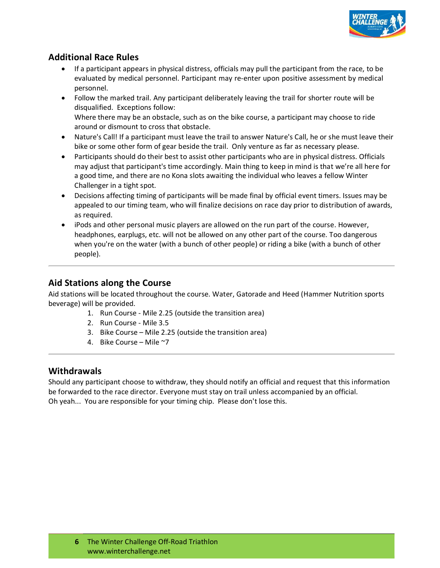

## **Additional Race Rules**

- If a participant appears in physical distress, officials may pull the participant from the race, to be evaluated by medical personnel. Participant may re-enter upon positive assessment by medical personnel.
- Follow the marked trail. Any participant deliberately leaving the trail for shorter route will be disqualified. Exceptions follow: Where there may be an obstacle, such as on the bike course, a participant may choose to ride around or dismount to cross that obstacle.
- Nature's Call! If a participant must leave the trail to answer Nature's Call, he or she must leave their bike or some other form of gear beside the trail. Only venture as far as necessary please.
- Participants should do their best to assist other participants who are in physical distress. Officials may adjust that participant's time accordingly. Main thing to keep in mind is that we're all here for a good time, and there are no Kona slots awaiting the individual who leaves a fellow Winter Challenger in a tight spot.
- Decisions affecting timing of participants will be made final by official event timers. Issues may be appealed to our timing team, who will finalize decisions on race day prior to distribution of awards, as required.
- iPods and other personal music players are allowed on the run part of the course. However, headphones, earplugs, etc. will not be allowed on any other part of the course. Too dangerous when you're on the water (with a bunch of other people) or riding a bike (with a bunch of other people).

## **Aid Stations along the Course**

Aid stations will be located throughout the course. Water, Gatorade and Heed (Hammer Nutrition sports beverage) will be provided.

- 1. Run Course Mile 2.25 (outside the transition area)
- 2. Run Course Mile 3.5
- 3. Bike Course Mile 2.25 (outside the transition area)
- 4. Bike Course Mile ~7

## **Withdrawals**

Should any participant choose to withdraw, they should notify an official and request that this information be forwarded to the race director. Everyone must stay on trail unless accompanied by an official. Oh yeah... You are responsible for your timing chip. Please don't lose this.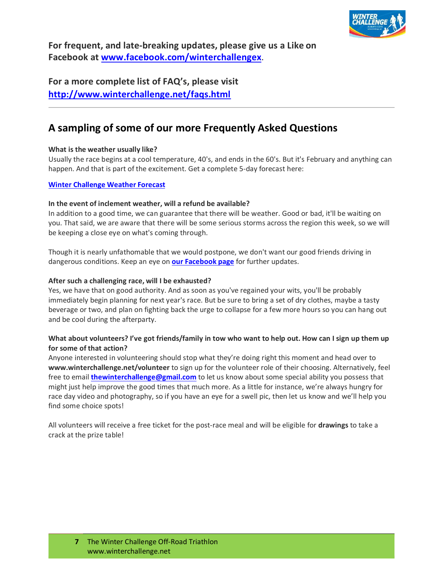

**For frequent, and late-breaking updates, please give us a Like on Facebook at [www.facebook.com/winterchallengex](http://www.facebook.com/winterchallengex)**.

**For a more complete list of FAQ's, please visit <http://www.winterchallenge.net/faqs.html>**

## **A sampling of some of our more Frequently Asked Questions**

#### **What is the weather usually like?**

Usually the race begins at a cool temperature, 40's, and ends in the 60's. But it's February and anything can happen. And that is part of the excitement. Get a complete 5-day forecast here:

#### **Winter [Challenge](https://weather.com/weather/tenday/l/b5e09c05121af06e73fff7e86543e653f34dd9ea311836b77246df4d50d686e2#detailIndex5) Weather Forecast**

#### **In the event of inclement weather, will a refund be available?**

In addition to a good time, we can guarantee that there will be weather. Good or bad, it'll be waiting on you. That said, we are aware that there will be some serious storms across the region this week, so we will be keeping a close eye on what's coming through.

Though it is nearly unfathomable that we would postpone, we don't want our good friends driving in dangerous conditions. Keep an eye on **[our Facebook](http://r20.rs6.net/tn.jsp?e=001L4AnxtJAY30lEaL3Z765hRpgGnZ8EUoPJO7MdGxTGmSf1cGg0pYgblCbQpFuYGqgoASRhNjDv77cs1xlsUG5ohPlLBBkcjpVllwdMtfoDfy6LrK8Sv2LwRs3dCLMIiBq) page** for further updates.

#### **After such a challenging race, will I be exhausted?**

Yes, we have that on good authority. And as soon as you've regained your wits, you'll be probably immediately begin planning for next year's race. But be sure to bring a set of dry clothes, maybe a tasty beverage or two, and plan on fighting back the urge to collapse for a few more hours so you can hang out and be cool during the afterparty.

#### **What about volunteers? I've got friends/family in tow who want to help out. How can I sign up them up for some of that action?**

Anyone interested in volunteering should stop what they're doing right this moment and head over to **[www.winterchallenge.net/volunteer](http://www.winterchallenge.net/volunteer)** to sign up for the volunteer role of their choosing. Alternatively, feel free to email **[thewinterchallenge@gmail.com](mailto:thewinterchallenge@gmail.com)** to let us know about some special ability you possess that might just help improve the good times that much more. As a little for instance, we're always hungry for race day video and photography, so if you have an eye for a swell pic, then let us know and we'll help you find some choice spots!

All volunteers will receive a free ticket for the post-race meal and will be eligible for **[drawings](http://www.winterchallenge.net/want-to-volunteer.html)** to take a crack at the prize table!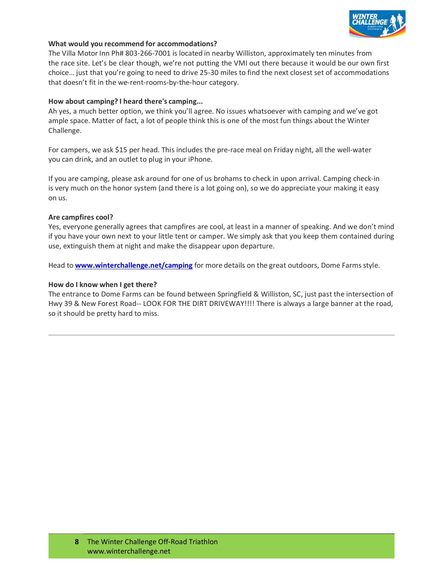

#### **What would you recommend for accommodations?**

The Villa Motor Inn Ph# 803-266-7001 is located in nearby Williston, approximately ten minutes from the race site. Let's be clear though, we're not putting the VMI out there because it would be our own first choice… just that you're going to need to drive 25-30 miles to find the next closest set of accommodations that doesn't fit in the we-rent-rooms-by-the-hour category.

#### **How about camping? I heard there's camping...**

Ah yes, a much better option, we think you'll agree. No issues whatsoever with camping and we've got ample space. Matter of fact, a lot of people think this is one of the most fun things about the Winter Challenge.

For campers, we ask \$15 per head. This includes the pre-race meal on Friday night, all the well-water you can drink, and an outlet to plug in your iPhone.

If you are camping, please ask around for one of us brohams to check in upon arrival. Camping check-in is very much on the honor system (and there is a lot going on), so we do appreciate your making it easy on us.

#### **Are campfires cool?**

Yes, everyone generally agrees that campfires are cool, at least in a manner of speaking. And we don't mind if you have your own next to your little tent or camper. We simply ask that you keep them contained during use, extinguish them at night and make the disappear upon departure.

Head to **[www.winterchallenge.net/camping](http://www.winterchallenge.net/camping)** for more details on the great outdoors, Dome Farms style.

#### **How do I know when I get there?**

The entrance to Dome Farms can be found between Springfield & Williston, SC, just past the intersection of Hwy 39 & New Forest Road-- LOOK FOR THE DIRT DRIVEWAY!!!! There is always a large banner at the road, so it should be pretty hard to miss.